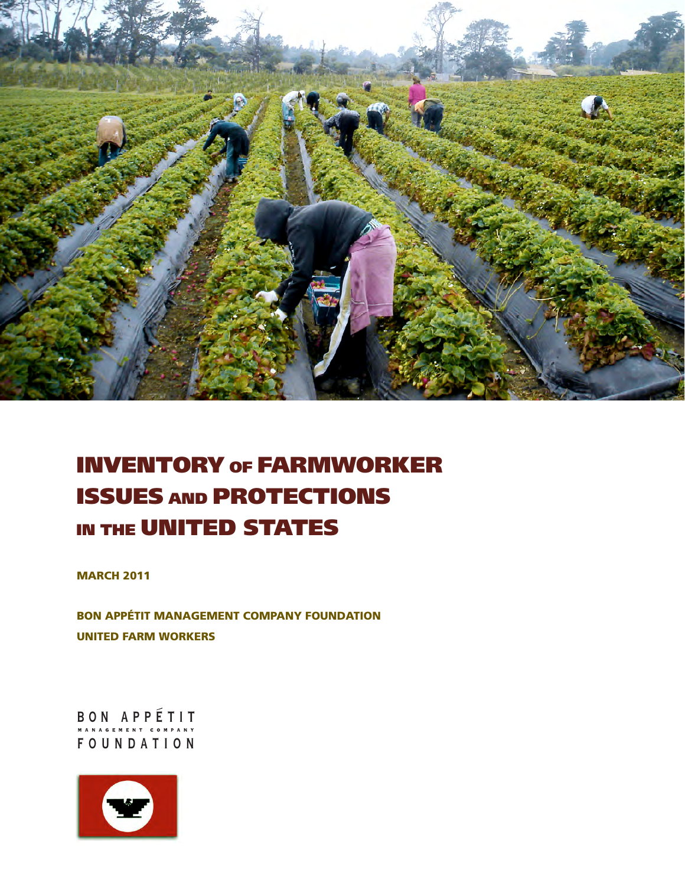

# INVENTORY of FARMWORKER ISSUES and PROTECTIONS in the UNITED STATES

**MARCH 2011** 

BON APPÉTIT MANAGEMENT COMPANY FOUNDATION UNITED FARM WORKERS

BON APPÉTIT FOUNDATION

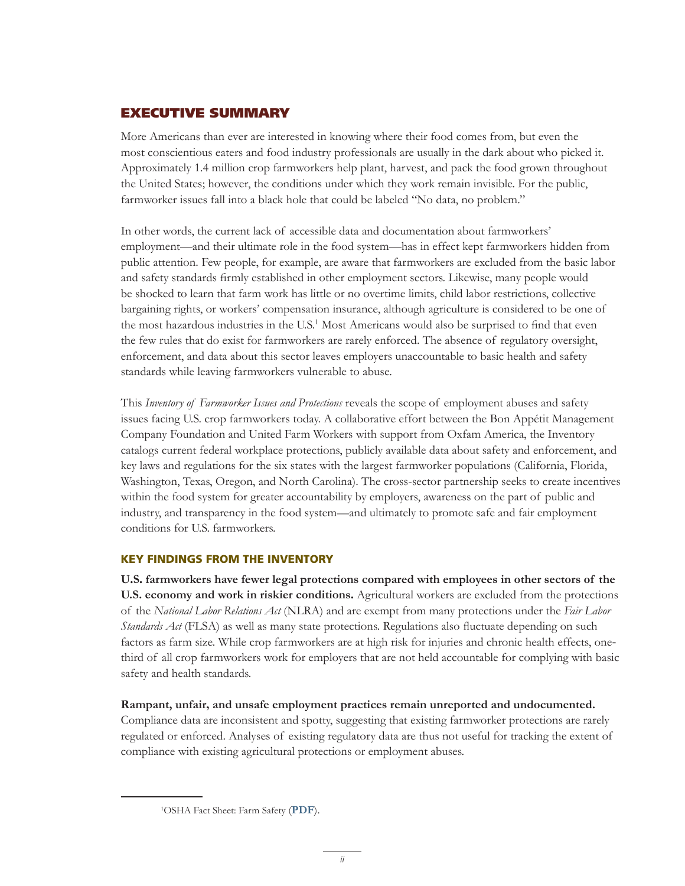## EXECUTIVE SUMMARY

More Americans than ever are interested in knowing where their food comes from, but even the most conscientious eaters and food industry professionals are usually in the dark about who picked it. Approximately 1.4 million crop farmworkers help plant, harvest, and pack the food grown throughout the United States; however, the conditions under which they work remain invisible. For the public, farmworker issues fall into a black hole that could be labeled "No data, no problem."

In other words, the current lack of accessible data and documentation about farmworkers' employment—and their ultimate role in the food system—has in effect kept farmworkers hidden from public attention. Few people, for example, are aware that farmworkers are excluded from the basic labor and safety standards firmly established in other employment sectors. Likewise, many people would be shocked to learn that farm work has little or no overtime limits, child labor restrictions, collective bargaining rights, or workers' compensation insurance, although agriculture is considered to be one of the most hazardous industries in the U.S.<sup>1</sup> Most Americans would also be surprised to find that even the few rules that do exist for farmworkers are rarely enforced. The absence of regulatory oversight, enforcement, and data about this sector leaves employers unaccountable to basic health and safety standards while leaving farmworkers vulnerable to abuse.

This *Inventory of Farmworker Issues and Protections* reveals the scope of employment abuses and safety issues facing U.S. crop farmworkers today. A collaborative effort between the Bon Appétit Management Company Foundation and United Farm Workers with support from Oxfam America, the Inventory catalogs current federal workplace protections, publicly available data about safety and enforcement, and key laws and regulations for the six states with the largest farmworker populations (California, Florida, Washington, Texas, Oregon, and North Carolina). The cross-sector partnership seeks to create incentives within the food system for greater accountability by employers, awareness on the part of public and industry, and transparency in the food system—and ultimately to promote safe and fair employment conditions for U.S. farmworkers.

### KEY FINDINGS FROM THE INVENTORY

**U.S. farmworkers have fewer legal protections compared with employees in other sectors of the U.S. economy and work in riskier conditions.** Agricultural workers are excluded from the protections of the *National Labor Relations Act* (NLRA) and are exempt from many protections under the *Fair Labor Standards Act* (FLSA) as well as many state protections. Regulations also fluctuate depending on such factors as farm size. While crop farmworkers are at high risk for injuries and chronic health effects, onethird of all crop farmworkers work for employers that are not held accountable for complying with basic safety and health standards.

**Rampant, unfair, and unsafe employment practices remain unreported and undocumented.**

Compliance data are inconsistent and spotty, suggesting that existing farmworker protections are rarely regulated or enforced. Analyses of existing regulatory data are thus not useful for tracking the extent of compliance with existing agricultural protections or employment abuses.

<sup>1</sup> OSHA Fact Sheet: Farm Safety (**[PDF](http://www.nmsu.edu/safety/resources/forms/OSHA-FarmHealth&Safetyfacts2.pdf)**).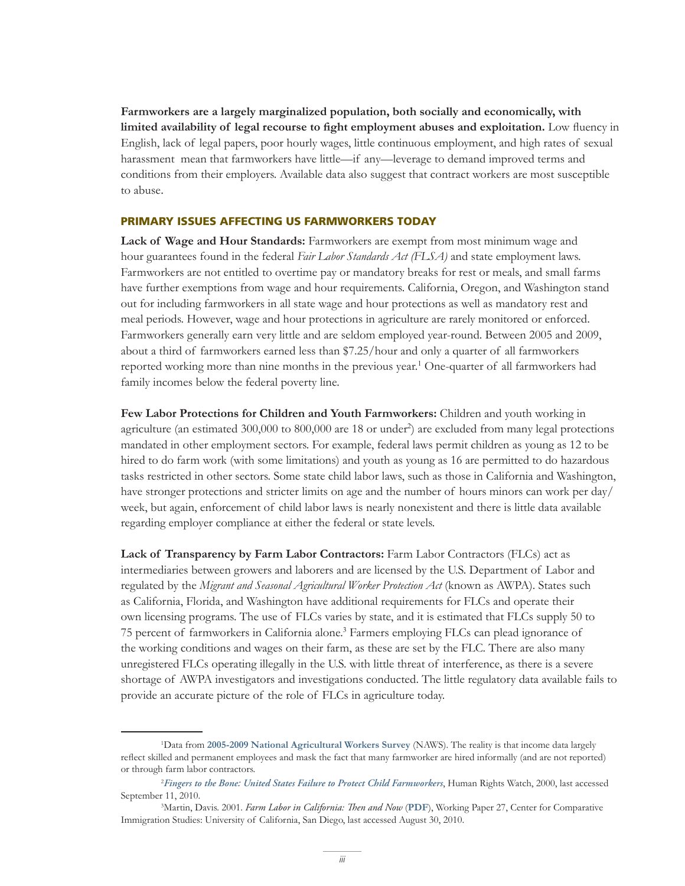**Farmworkers are a largely marginalized population, both socially and economically, with**  limited availability of legal recourse to fight employment abuses and exploitation. Low fluency in English, lack of legal papers, poor hourly wages, little continuous employment, and high rates of sexual harassment mean that farmworkers have little—if any—leverage to demand improved terms and conditions from their employers. Available data also suggest that contract workers are most susceptible to abuse.

#### PRIMARY ISSUES AFFECTING US FARMWORKERS TODAY

**Lack of Wage and Hour Standards:** Farmworkers are exempt from most minimum wage and hour guarantees found in the federal *Fair Labor Standards Act (FLSA)* and state employment laws. Farmworkers are not entitled to overtime pay or mandatory breaks for rest or meals, and small farms have further exemptions from wage and hour requirements. California, Oregon, and Washington stand out for including farmworkers in all state wage and hour protections as well as mandatory rest and meal periods. However, wage and hour protections in agriculture are rarely monitored or enforced. Farmworkers generally earn very little and are seldom employed year-round. Between 2005 and 2009, about a third of farmworkers earned less than \$7.25/hour and only a quarter of all farmworkers reported working more than nine months in the previous year.<sup>1</sup> One-quarter of all farmworkers had family incomes below the federal poverty line.

**Few Labor Protections for Children and Youth Farmworkers:** Children and youth working in agriculture (an estimated 300,000 to 800,000 are 18 or under<sup>2</sup>) are excluded from many legal protections mandated in other employment sectors. For example, federal laws permit children as young as 12 to be hired to do farm work (with some limitations) and youth as young as 16 are permitted to do hazardous tasks restricted in other sectors. Some state child labor laws, such as those in California and Washington, have stronger protections and stricter limits on age and the number of hours minors can work per day/ week, but again, enforcement of child labor laws is nearly nonexistent and there is little data available regarding employer compliance at either the federal or state levels.

**Lack of Transparency by Farm Labor Contractors:** Farm Labor Contractors (FLCs) act as intermediaries between growers and laborers and are licensed by the U.S. Department of Labor and regulated by the *Migrant and Seasonal Agricultural Worker Protection Act* (known as AWPA). States such as California, Florida, and Washington have additional requirements for FLCs and operate their own licensing programs. The use of FLCs varies by state, and it is estimated that FLCs supply 50 to 75 percent of farmworkers in California alone.<sup>3</sup> Farmers employing FLCs can plead ignorance of the working conditions and wages on their farm, as these are set by the FLC. There are also many unregistered FLCs operating illegally in the U.S. with little threat of interference, as there is a severe shortage of AWPA investigators and investigations conducted. The little regulatory data available fails to provide an accurate picture of the role of FLCs in agriculture today.

<sup>1</sup> Data from **[2005-2009 National Agricultural Workers Survey](http://www.doleta.gov/agworker/naws.cfm)** (NAWS). The reality is that income data largely reflect skilled and permanent employees and mask the fact that many farmworker are hired informally (and are not reported) or through farm labor contractors.

<sup>2</sup> *[Fingers to the Bone: United States Failure to Protect Child Farmworkers](http://www.hrw.org/en/reports/2000/06/02/fingers-bone-0)*, Human Rights Watch, 2000, last accessed September 11, 2010.

<sup>&</sup>lt;sup>3</sup>Martin, Davis. 2001. *Farm Labor in California: Then and Now* ([PDF](http://www.ccis-ucsd.org/PUBLICATIONS/wrkg37.PDF)), Working Paper 27, Center for Comparative Immigration Studies: University of California, San Diego, last accessed August 30, 2010.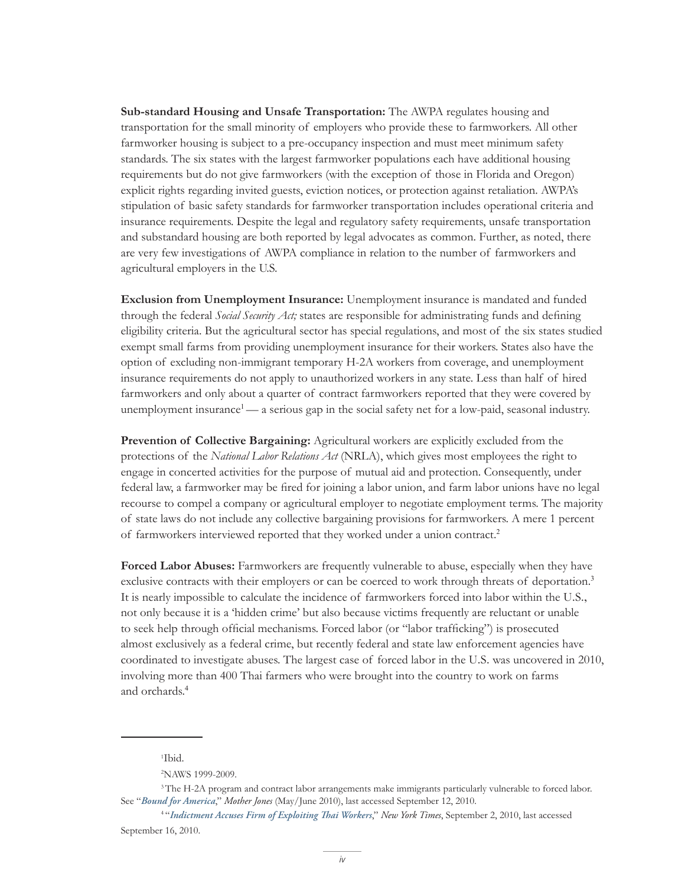**Sub-standard Housing and Unsafe Transportation:** The AWPA regulates housing and transportation for the small minority of employers who provide these to farmworkers. All other farmworker housing is subject to a pre-occupancy inspection and must meet minimum safety standards. The six states with the largest farmworker populations each have additional housing requirements but do not give farmworkers (with the exception of those in Florida and Oregon) explicit rights regarding invited guests, eviction notices, or protection against retaliation. AWPA's stipulation of basic safety standards for farmworker transportation includes operational criteria and insurance requirements. Despite the legal and regulatory safety requirements, unsafe transportation and substandard housing are both reported by legal advocates as common. Further, as noted, there are very few investigations of AWPA compliance in relation to the number of farmworkers and agricultural employers in the U.S.

**Exclusion from Unemployment Insurance:** Unemployment insurance is mandated and funded through the federal *Social Security Act;* states are responsible for administrating funds and defining eligibility criteria. But the agricultural sector has special regulations, and most of the six states studied exempt small farms from providing unemployment insurance for their workers. States also have the option of excluding non-immigrant temporary H-2A workers from coverage, and unemployment insurance requirements do not apply to unauthorized workers in any state. Less than half of hired farmworkers and only about a quarter of contract farmworkers reported that they were covered by unemployment insurance<sup>1</sup>— a serious gap in the social safety net for a low-paid, seasonal industry.

**Prevention of Collective Bargaining:** Agricultural workers are explicitly excluded from the protections of the *National Labor Relations Act* (NRLA), which gives most employees the right to engage in concerted activities for the purpose of mutual aid and protection. Consequently, under federal law, a farmworker may be fired for joining a labor union, and farm labor unions have no legal recourse to compel a company or agricultural employer to negotiate employment terms. The majority of state laws do not include any collective bargaining provisions for farmworkers. A mere 1 percent of farmworkers interviewed reported that they worked under a union contract.<sup>2</sup>

**Forced Labor Abuses:** Farmworkers are frequently vulnerable to abuse, especially when they have exclusive contracts with their employers or can be coerced to work through threats of deportation.<sup>3</sup> It is nearly impossible to calculate the incidence of farmworkers forced into labor within the U.S., not only because it is a 'hidden crime' but also because victims frequently are reluctant or unable to seek help through official mechanisms. Forced labor (or "labor trafficking") is prosecuted almost exclusively as a federal crime, but recently federal and state law enforcement agencies have coordinated to investigate abuses. The largest case of forced labor in the U.S. was uncovered in 2010, involving more than 400 Thai farmers who were brought into the country to work on farms and orchards.<sup>4</sup>

1 Ibid.

<sup>2</sup> NAWS 1999-2009.

<sup>&</sup>lt;sup>3</sup>The H-2A program and contract labor arrangements make immigrants particularly vulnerable to forced labor. See "*[Bound for America](http://motherjones.com/politics/2010/05/immigration-law-indentured-servitude?page=2)*," *Mother Jones* (May/June 2010), last accessed September 12, 2010.

<sup>4 &</sup>quot;*[Indictment Accuses Firm of Exploiting Thai Workers](http://www.nytimes.com/2010/09/04/us/04trafficking.html)*," *New York Times*, September 2, 2010, last accessed September 16, 2010.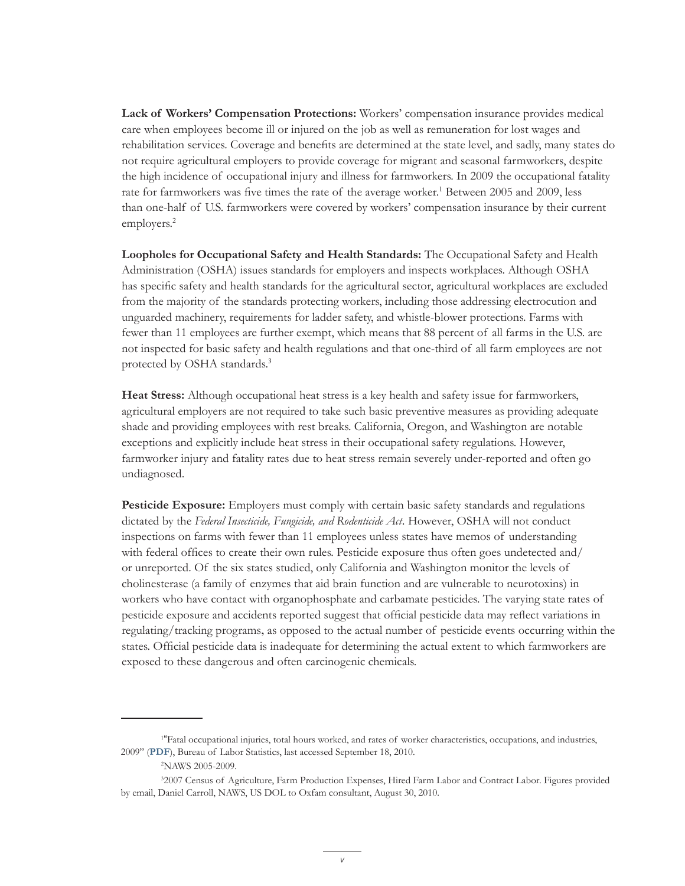**Lack of Workers' Compensation Protections:** Workers' compensation insurance provides medical care when employees become ill or injured on the job as well as remuneration for lost wages and rehabilitation services. Coverage and benefits are determined at the state level, and sadly, many states do not require agricultural employers to provide coverage for migrant and seasonal farmworkers, despite the high incidence of occupational injury and illness for farmworkers. In 2009 the occupational fatality rate for farmworkers was five times the rate of the average worker.<sup>1</sup> Between 2005 and 2009, less than one-half of U.S. farmworkers were covered by workers' compensation insurance by their current employers.<sup>2</sup>

**Loopholes for Occupational Safety and Health Standards:** The Occupational Safety and Health Administration (OSHA) issues standards for employers and inspects workplaces. Although OSHA has specific safety and health standards for the agricultural sector, agricultural workplaces are excluded from the majority of the standards protecting workers, including those addressing electrocution and unguarded machinery, requirements for ladder safety, and whistle-blower protections. Farms with fewer than 11 employees are further exempt, which means that 88 percent of all farms in the U.S. are not inspected for basic safety and health regulations and that one-third of all farm employees are not protected by OSHA standards. 3

**Heat Stress:** Although occupational heat stress is a key health and safety issue for farmworkers, agricultural employers are not required to take such basic preventive measures as providing adequate shade and providing employees with rest breaks. California, Oregon, and Washington are notable exceptions and explicitly include heat stress in their occupational safety regulations. However, farmworker injury and fatality rates due to heat stress remain severely under-reported and often go undiagnosed.

**Pesticide Exposure:** Employers must comply with certain basic safety standards and regulations dictated by the *Federal Insecticide, Fungicide, and Rodenticide Act*. However, OSHA will not conduct inspections on farms with fewer than 11 employees unless states have memos of understanding with federal offices to create their own rules. Pesticide exposure thus often goes undetected and/ or unreported. Of the six states studied, only California and Washington monitor the levels of cholinesterase (a family of enzymes that aid brain function and are vulnerable to neurotoxins) in workers who have contact with organophosphate and carbamate pesticides. The varying state rates of pesticide exposure and accidents reported suggest that official pesticide data may reflect variations in regulating/tracking programs, as opposed to the actual number of pesticide events occurring within the states. Official pesticide data is inadequate for determining the actual extent to which farmworkers are exposed to these dangerous and often carcinogenic chemicals.

<sup>1</sup> "Fatal occupational injuries, total hours worked, and rates of worker characteristics, occupations, and industries, 2009" (**[PDF](http://stats.bls.gov/iif/oshwc/cfoi/cfoi_rates_2009hb.pdf)**), Bureau of Labor Statistics, last accessed September 18, 2010.

<sup>2</sup> NAWS 2005-2009.

<sup>3</sup> 2007 Census of Agriculture, Farm Production Expenses, Hired Farm Labor and Contract Labor. Figures provided by email, Daniel Carroll, NAWS, US DOL to Oxfam consultant, August 30, 2010.